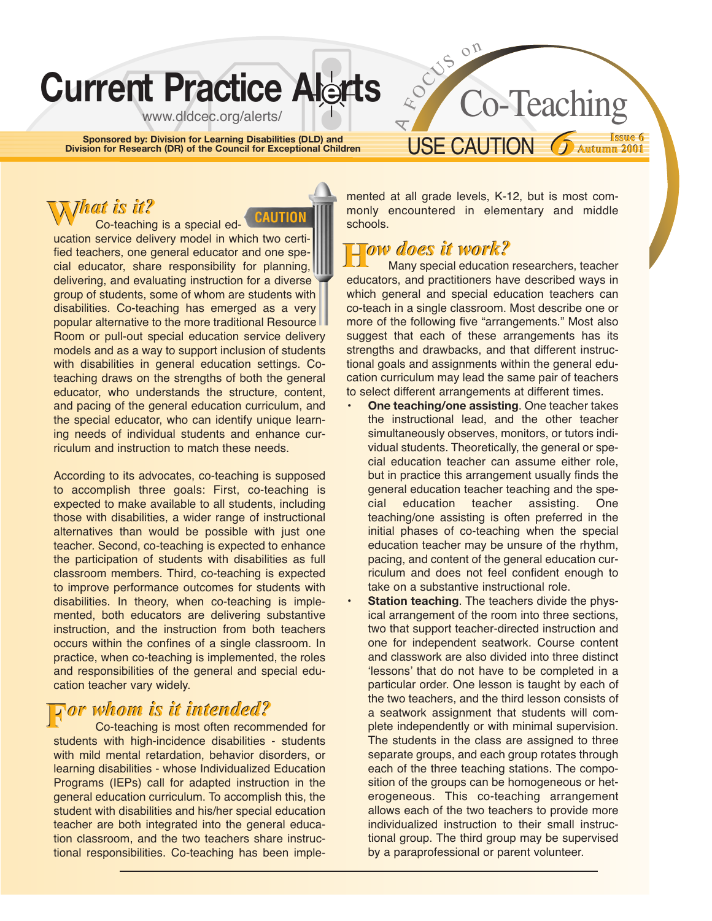# **Current Practice Alerts**

www.dldcec.org/alerts/

**Sponsored by: Division for Learning Disabilities (DLD) and Division for Research (DR) of the Council for Exceptional Children**

#### mented at all grade levels, K-12, but is most commonly encountered in elementary and middle

USE CAUTION

**Issue 6** *6***Autumn 2001** *6* **<sup>6</sup>**

**Autumn 2001**

Co-Teaching

## **H***ow does it work?* **H***ow does it work?*

 $\overline{\mathbf{r}}$ 

E OUS ON

schools.

Many special education researchers, teacher educators, and practitioners have described ways in which general and special education teachers can co-teach in a single classroom. Most describe one or more of the following five "arrangements." Most also suggest that each of these arrangements has its strengths and drawbacks, and that different instructional goals and assignments within the general education curriculum may lead the same pair of teachers to select different arrangements at different times.

• **One teaching/one assisting**. One teacher takes the instructional lead, and the other teacher simultaneously observes, monitors, or tutors individual students. Theoretically, the general or special education teacher can assume either role, but in practice this arrangement usually finds the general education teacher teaching and the special education teacher assisting. One teaching/one assisting is often preferred in the initial phases of co-teaching when the special education teacher may be unsure of the rhythm, pacing, and content of the general education curriculum and does not feel confident enough to take on a substantive instructional role.

**Station teaching**. The teachers divide the physical arrangement of the room into three sections, two that support teacher-directed instruction and one for independent seatwork. Course content and classwork are also divided into three distinct 'lessons' that do not have to be completed in a particular order. One lesson is taught by each of the two teachers, and the third lesson consists of a seatwork assignment that students will complete independently or with minimal supervision. The students in the class are assigned to three separate groups, and each group rotates through each of the three teaching stations. The composition of the groups can be homogeneous or heterogeneous. This co-teaching arrangement allows each of the two teachers to provide more individualized instruction to their small instructional group. The third group may be supervised by a paraprofessional or parent volunteer.

Co-teaching is a special education service delivery model in which two certified teachers, one general educator and one special educator, share responsibility for planning, delivering, and evaluating instruction for a diverse group of students, some of whom are students with disabilities. Co-teaching has emerged as a very popular alternative to the more traditional Resource Room or pull-out special education service delivery models and as a way to support inclusion of students with disabilities in general education settings. Coteaching draws on the strengths of both the general educator, who understands the structure, content, and pacing of the general education curriculum, and the special educator, who can identify unique learning needs of individual students and enhance curriculum and instruction to match these needs. **W***hat is it?* **W***hat is it?* **CAUTION**

According to its advocates, co-teaching is supposed to accomplish three goals: First, co-teaching is expected to make available to all students, including those with disabilities, a wider range of instructional alternatives than would be possible with just one teacher. Second, co-teaching is expected to enhance the participation of students with disabilities as full classroom members. Third, co-teaching is expected to improve performance outcomes for students with disabilities. In theory, when co-teaching is implemented, both educators are delivering substantive instruction, and the instruction from both teachers occurs within the confines of a single classroom. In practice, when co-teaching is implemented, the roles and responsibilities of the general and special education teacher vary widely.

## **F***or whom is it intended?* **F***or is it intended?*

Co-teaching is most often recommended for students with high-incidence disabilities - students with mild mental retardation, behavior disorders, or learning disabilities - whose Individualized Education Programs (IEPs) call for adapted instruction in the general education curriculum. To accomplish this, the student with disabilities and his/her special education teacher are both integrated into the general education classroom, and the two teachers share instructional responsibilities. Co-teaching has been imple-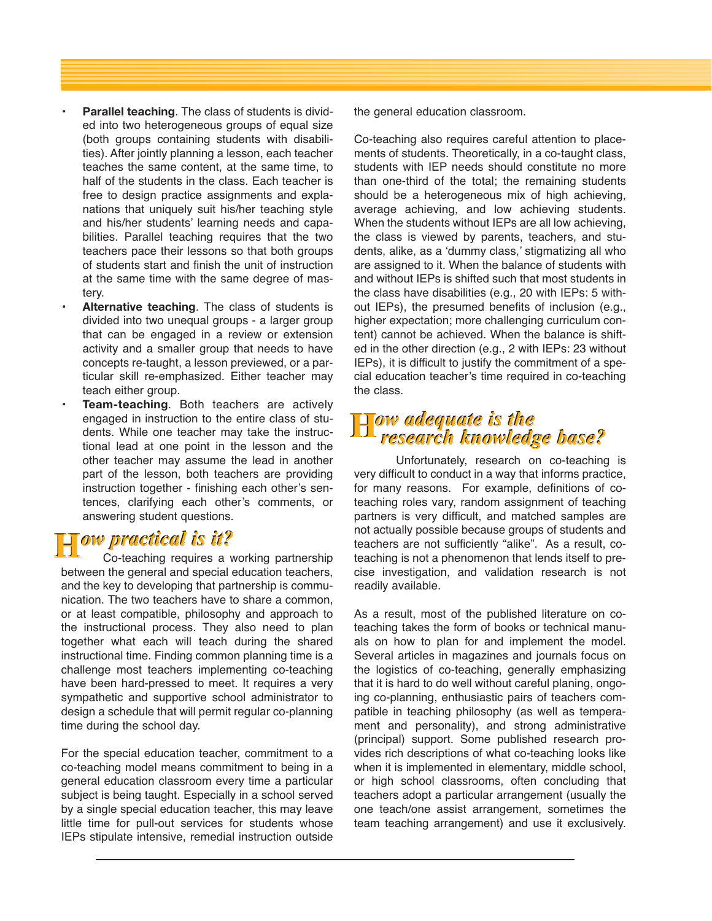- **Parallel teaching**. The class of students is divided into two heterogeneous groups of equal size (both groups containing students with disabilities). After jointly planning a lesson, each teacher teaches the same content, at the same time, to half of the students in the class. Each teacher is free to design practice assignments and explanations that uniquely suit his/her teaching style and his/her students' learning needs and capabilities. Parallel teaching requires that the two teachers pace their lessons so that both groups of students start and finish the unit of instruction at the same time with the same degree of mastery.
- **Alternative teaching**. The class of students is divided into two unequal groups - a larger group that can be engaged in a review or extension activity and a smaller group that needs to have concepts re-taught, a lesson previewed, or a particular skill re-emphasized. Either teacher may teach either group.
- **Team-teaching**. Both teachers are actively engaged in instruction to the entire class of students. While one teacher may take the instructional lead at one point in the lesson and the other teacher may assume the lead in another part of the lesson, both teachers are providing instruction together - finishing each other's sentences, clarifying each other's comments, or answering student questions.

## **H***ow practical is it?* **H***ow practical is it?*

Co-teaching requires a working partnership between the general and special education teachers, and the key to developing that partnership is communication. The two teachers have to share a common, or at least compatible, philosophy and approach to the instructional process. They also need to plan together what each will teach during the shared instructional time. Finding common planning time is a challenge most teachers implementing co-teaching have been hard-pressed to meet. It requires a very sympathetic and supportive school administrator to design a schedule that will permit regular co-planning time during the school day.

For the special education teacher, commitment to a co-teaching model means commitment to being in a general education classroom every time a particular subject is being taught. Especially in a school served by a single special education teacher, this may leave little time for pull-out services for students whose IEPs stipulate intensive, remedial instruction outside the general education classroom.

Co-teaching also requires careful attention to placements of students. Theoretically, in a co-taught class, students with IEP needs should constitute no more than one-third of the total; the remaining students should be a heterogeneous mix of high achieving, average achieving, and low achieving students. When the students without IEPs are all low achieving, the class is viewed by parents, teachers, and students, alike, as a 'dummy class,' stigmatizing all who are assigned to it. When the balance of students with and without IEPs is shifted such that most students in the class have disabilities (e.g., 20 with IEPs: 5 without IEPs), the presumed benefits of inclusion (e.g., higher expectation; more challenging curriculum content) cannot be achieved. When the balance is shifted in the other direction (e.g., 2 with IEPs: 23 without IEPs), it is difficult to justify the commitment of a special education teacher's time required in co-teaching the class.

# **H***ow adequate is the research knowledge base?* **H***ow adequate is the research knowledge base?*

Unfortunately, research on co-teaching is very difficult to conduct in a way that informs practice, for many reasons. For example, definitions of coteaching roles vary, random assignment of teaching partners is very difficult, and matched samples are not actually possible because groups of students and teachers are not sufficiently "alike". As a result, coteaching is not a phenomenon that lends itself to precise investigation, and validation research is not readily available.

As a result, most of the published literature on coteaching takes the form of books or technical manuals on how to plan for and implement the model. Several articles in magazines and journals focus on the logistics of co-teaching, generally emphasizing that it is hard to do well without careful planing, ongoing co-planning, enthusiastic pairs of teachers compatible in teaching philosophy (as well as temperament and personality), and strong administrative (principal) support. Some published research provides rich descriptions of what co-teaching looks like when it is implemented in elementary, middle school, or high school classrooms, often concluding that teachers adopt a particular arrangement (usually the one teach/one assist arrangement, sometimes the team teaching arrangement) and use it exclusively.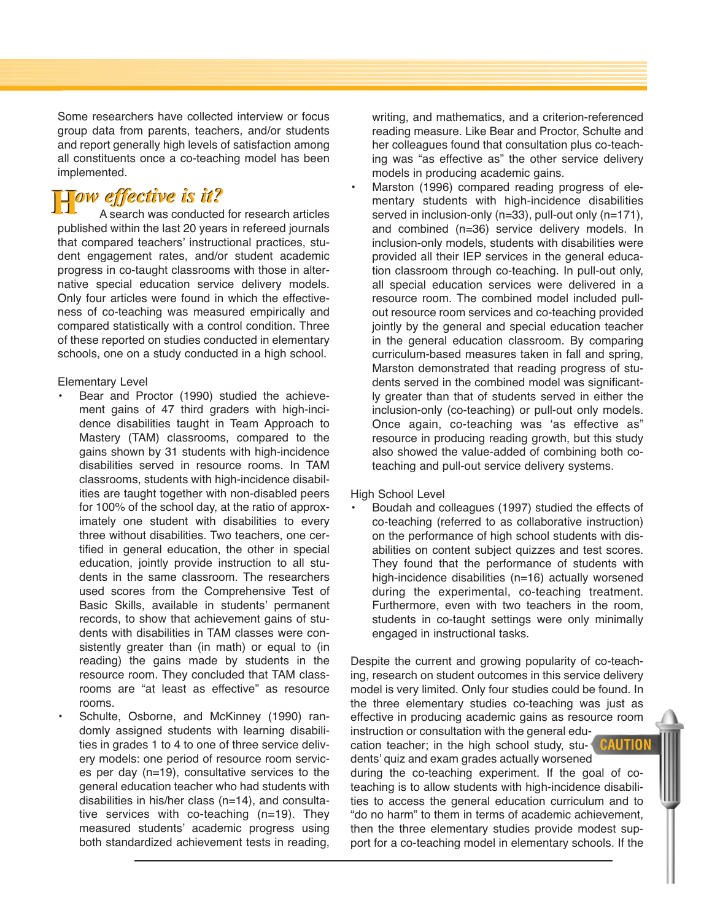Some researchers have collected interview or focus group data from parents, teachers, and/or students and report generally high levels of satisfaction among all constituents once a co-teaching model has been implemented.

#### **H***ow effective is it?* **H***ow effective is it?*

A search was conducted for research articles published within the last 20 years in refereed journals that compared teachers' instructional practices, student engagement rates, and/or student academic progress in co-taught classrooms with those in alternative special education service delivery models. Only four articles were found in which the effectiveness of co-teaching was measured empirically and compared statistically with a control condition. Three of these reported on studies conducted in elementary schools, one on a study conducted in a high school.

Elementary Level

- Bear and Proctor (1990) studied the achievement gains of 47 third graders with high-incidence disabilities taught in Team Approach to Mastery (TAM) classrooms, compared to the gains shown by 31 students with high-incidence disabilities served in resource rooms. In TAM classrooms, students with high-incidence disabilities are taught together with non-disabled peers for 100% of the school day, at the ratio of approximately one student with disabilities to every three without disabilities. Two teachers, one certified in general education, the other in special education, jointly provide instruction to all students in the same classroom. The researchers used scores from the Comprehensive Test of Basic Skills, available in students' permanent records, to show that achievement gains of students with disabilities in TAM classes were consistently greater than (in math) or equal to (in reading) the gains made by students in the resource room. They concluded that TAM classrooms are "at least as effective" as resource rooms.
- Schulte, Osborne, and McKinney (1990) randomly assigned students with learning disabilities in grades 1 to 4 to one of three service delivery models: one period of resource room services per day (n=19), consultative services to the general education teacher who had students with disabilities in his/her class (n=14), and consultative services with co-teaching (n=19). They measured students' academic progress using both standardized achievement tests in reading,

writing, and mathematics, and a criterion-referenced reading measure. Like Bear and Proctor, Schulte and her colleagues found that consultation plus co-teaching was "as effective as" the other service delivery models in producing academic gains.

Marston (1996) compared reading progress of elementary students with high-incidence disabilities served in inclusion-only (n=33), pull-out only (n=171), and combined (n=36) service delivery models. In inclusion-only models, students with disabilities were provided all their IEP services in the general education classroom through co-teaching. In pull-out only, all special education services were delivered in a resource room. The combined model included pullout resource room services and co-teaching provided jointly by the general and special education teacher in the general education classroom. By comparing curriculum-based measures taken in fall and spring, Marston demonstrated that reading progress of students served in the combined model was significantly greater than that of students served in either the inclusion-only (co-teaching) or pull-out only models. Once again, co-teaching was 'as effective as" resource in producing reading growth, but this study also showed the value-added of combining both coteaching and pull-out service delivery systems.

High School Level

• Boudah and colleagues (1997) studied the effects of co-teaching (referred to as collaborative instruction) on the performance of high school students with disabilities on content subject quizzes and test scores. They found that the performance of students with high-incidence disabilities (n=16) actually worsened during the experimental, co-teaching treatment. Furthermore, even with two teachers in the room, students in co-taught settings were only minimally engaged in instructional tasks.

Despite the current and growing popularity of co-teaching, research on student outcomes in this service delivery model is very limited. Only four studies could be found. In the three elementary studies co-teaching was just as effective in producing academic gains as resource room instruction or consultation with the general education teacher; in the high school study, students' quiz and exam grades actually worsened during the co-teaching experiment. If the goal of coteaching is to allow students with high-incidence disabilities to access the general education curriculum and to "do no harm" to them in terms of academic achievement, then the three elementary studies provide modest support for a co-teaching model in elementary schools. If the **CAUTION**